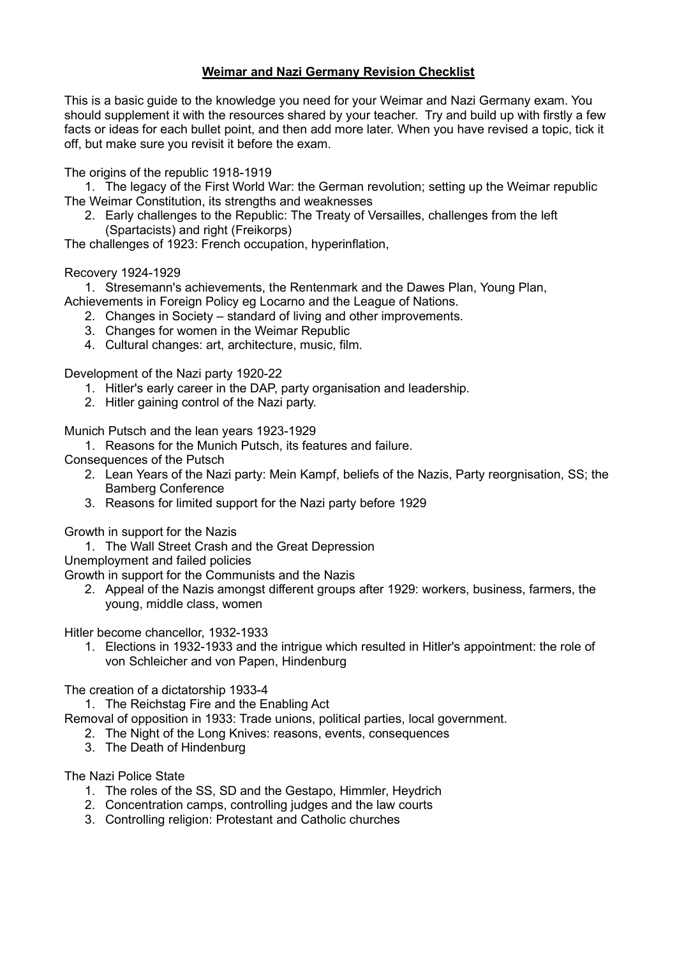## Weimar and Nazi Germany Revision Checklist

This is a basic guide to the knowledge you need for your Weimar and Nazi Germany exam. You should supplement it with the resources shared by your teacher. Try and build up with firstly a few facts or ideas for each bullet point, and then add more later. When you have revised a topic, tick it off, but make sure you revisit it before the exam.

The origins of the republic 1918-1919

1. The legacy of the First World War: the German revolution; setting up the Weimar republic The Weimar Constitution, its strengths and weaknesses

2. Early challenges to the Republic: The Treaty of Versailles, challenges from the left (Spartacists) and right (Freikorps)

The challenges of 1923: French occupation, hyperinflation,

## Recovery 1924-1929

1. Stresemann's achievements, the Rentenmark and the Dawes Plan, Young Plan, Achievements in Foreign Policy eg Locarno and the League of Nations.

- 2. Changes in Society standard of living and other improvements.
- 3. Changes for women in the Weimar Republic
- 4. Cultural changes: art, architecture, music, film.

Development of the Nazi party 1920-22

- 1. Hitler's early career in the DAP, party organisation and leadership.
- 2. Hitler gaining control of the Nazi party.

Munich Putsch and the lean years 1923-1929

- 1. Reasons for the Munich Putsch, its features and failure.
- Consequences of the Putsch
	- 2. Lean Years of the Nazi party: Mein Kampf, beliefs of the Nazis, Party reorgnisation, SS; the Bamberg Conference
	- 3. Reasons for limited support for the Nazi party before 1929

Growth in support for the Nazis

- 1. The Wall Street Crash and the Great Depression
- Unemployment and failed policies

Growth in support for the Communists and the Nazis

2. Appeal of the Nazis amongst different groups after 1929: workers, business, farmers, the young, middle class, women

Hitler become chancellor, 1932-1933

1. Elections in 1932-1933 and the intrigue which resulted in Hitler's appointment: the role of von Schleicher and von Papen, Hindenburg

The creation of a dictatorship 1933-4

1. The Reichstag Fire and the Enabling Act

Removal of opposition in 1933: Trade unions, political parties, local government.

- 2. The Night of the Long Knives: reasons, events, consequences
- 3. The Death of Hindenburg

The Nazi Police State

- 1. The roles of the SS, SD and the Gestapo, Himmler, Heydrich
- 2. Concentration camps, controlling judges and the law courts
- 3. Controlling religion: Protestant and Catholic churches